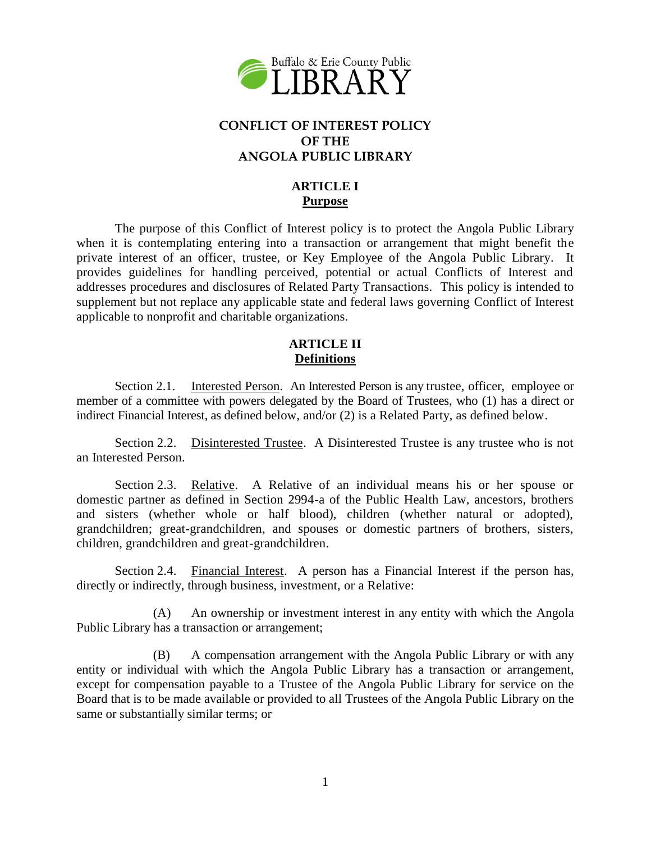

## **CONFLICT OF INTEREST POLICY OF THE ANGOLA PUBLIC LIBRARY**

# **ARTICLE I Purpose**

The purpose of this Conflict of Interest policy is to protect the Angola Public Library when it is contemplating entering into a transaction or arrangement that might benefit the private interest of an officer, trustee, or Key Employee of the Angola Public Library. It provides guidelines for handling perceived, potential or actual Conflicts of Interest and addresses procedures and disclosures of Related Party Transactions. This policy is intended to supplement but not replace any applicable state and federal laws governing Conflict of Interest applicable to nonprofit and charitable organizations.

#### **ARTICLE II Definitions**

Section 2.1. Interested Person. An Interested Person is any trustee, officer, employee or member of a committee with powers delegated by the Board of Trustees, who (1) has a direct or indirect Financial Interest, as defined below, and/or (2) is a Related Party, as defined below.

Section 2.2. Disinterested Trustee. A Disinterested Trustee is any trustee who is not an Interested Person.

Section 2.3. Relative. A Relative of an individual means his or her spouse or domestic partner as defined in Section 2994-a of the Public Health Law, ancestors, brothers and sisters (whether whole or half blood), children (whether natural or adopted), grandchildren; great-grandchildren, and spouses or domestic partners of brothers, sisters, children, grandchildren and great-grandchildren.

Section 2.4. Financial Interest. A person has a Financial Interest if the person has, directly or indirectly, through business, investment, or a Relative:

(A) An ownership or investment interest in any entity with which the Angola Public Library has a transaction or arrangement;

(B) A compensation arrangement with the Angola Public Library or with any entity or individual with which the Angola Public Library has a transaction or arrangement, except for compensation payable to a Trustee of the Angola Public Library for service on the Board that is to be made available or provided to all Trustees of the Angola Public Library on the same or substantially similar terms; or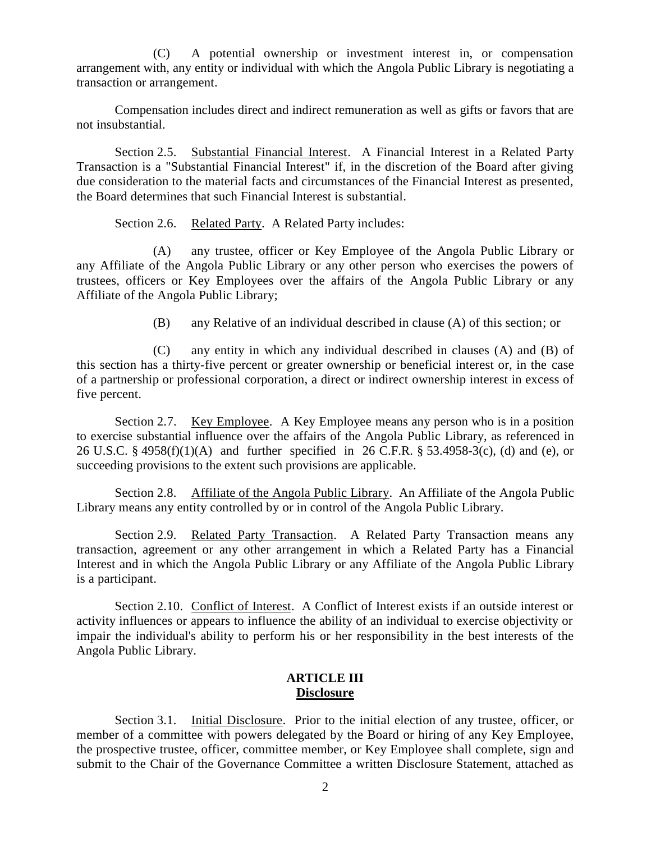(C) A potential ownership or investment interest in, or compensation arrangement with, any entity or individual with which the Angola Public Library is negotiating a transaction or arrangement.

Compensation includes direct and indirect remuneration as well as gifts or favors that are not insubstantial.

Section 2.5. Substantial Financial Interest. A Financial Interest in a Related Party Transaction is a "Substantial Financial Interest" if, in the discretion of the Board after giving due consideration to the material facts and circumstances of the Financial Interest as presented, the Board determines that such Financial Interest is substantial.

Section 2.6. Related Party. A Related Party includes:

(A) any trustee, officer or Key Employee of the Angola Public Library or any Affiliate of the Angola Public Library or any other person who exercises the powers of trustees, officers or Key Employees over the affairs of the Angola Public Library or any Affiliate of the Angola Public Library;

(B) any Relative of an individual described in clause (A) of this section; or

(C) any entity in which any individual described in clauses (A) and (B) of this section has a thirty-five percent or greater ownership or beneficial interest or, in the case of a partnership or professional corporation, a direct or indirect ownership interest in excess of five percent.

Section 2.7. Key Employee. A Key Employee means any person who is in a position to exercise substantial influence over the affairs of the Angola Public Library, as referenced in 26 U.S.C. § 4958(f)(1)(A) and further specified in 26 C.F.R. § 53.4958-3(c), (d) and (e), or succeeding provisions to the extent such provisions are applicable.

Section 2.8. Affiliate of the Angola Public Library. An Affiliate of the Angola Public Library means any entity controlled by or in control of the Angola Public Library.

Section 2.9. Related Party Transaction. A Related Party Transaction means any transaction, agreement or any other arrangement in which a Related Party has a Financial Interest and in which the Angola Public Library or any Affiliate of the Angola Public Library is a participant.

Section 2.10. Conflict of Interest. A Conflict of Interest exists if an outside interest or activity influences or appears to influence the ability of an individual to exercise objectivity or impair the individual's ability to perform his or her responsibility in the best interests of the Angola Public Library.

#### **ARTICLE III Disclosure**

Section 3.1. Initial Disclosure. Prior to the initial election of any trustee, officer, or member of a committee with powers delegated by the Board or hiring of any Key Employee, the prospective trustee, officer, committee member, or Key Employee shall complete, sign and submit to the Chair of the Governance Committee a written Disclosure Statement, attached as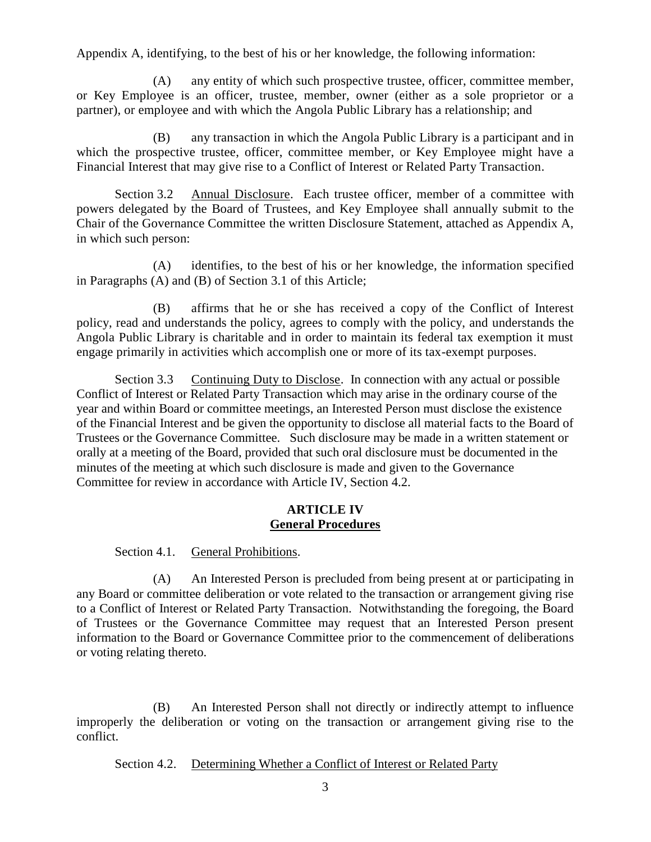Appendix A, identifying, to the best of his or her knowledge, the following information:

(A) any entity of which such prospective trustee, officer, committee member, or Key Employee is an officer, trustee, member, owner (either as a sole proprietor or a partner), or employee and with which the Angola Public Library has a relationship; and

(B) any transaction in which the Angola Public Library is a participant and in which the prospective trustee, officer, committee member, or Key Employee might have a Financial Interest that may give rise to a Conflict of Interest or Related Party Transaction.

Section 3.2 Annual Disclosure. Each trustee officer, member of a committee with powers delegated by the Board of Trustees, and Key Employee shall annually submit to the Chair of the Governance Committee the written Disclosure Statement, attached as Appendix A, in which such person:

(A) identifies, to the best of his or her knowledge, the information specified in Paragraphs (A) and (B) of Section 3.1 of this Article;

(B) affirms that he or she has received a copy of the Conflict of Interest policy, read and understands the policy, agrees to comply with the policy, and understands the Angola Public Library is charitable and in order to maintain its federal tax exemption it must engage primarily in activities which accomplish one or more of its tax-exempt purposes.

Section 3.3 Continuing Duty to Disclose. In connection with any actual or possible Conflict of Interest or Related Party Transaction which may arise in the ordinary course of the year and within Board or committee meetings, an Interested Person must disclose the existence of the Financial Interest and be given the opportunity to disclose all material facts to the Board of Trustees or the Governance Committee. Such disclosure may be made in a written statement or orally at a meeting of the Board, provided that such oral disclosure must be documented in the minutes of the meeting at which such disclosure is made and given to the Governance Committee for review in accordance with Article IV, Section 4.2.

#### **ARTICLE IV General Procedures**

Section 4.1. General Prohibitions.

(A) An Interested Person is precluded from being present at or participating in any Board or committee deliberation or vote related to the transaction or arrangement giving rise to a Conflict of Interest or Related Party Transaction. Notwithstanding the foregoing, the Board of Trustees or the Governance Committee may request that an Interested Person present information to the Board or Governance Committee prior to the commencement of deliberations or voting relating thereto.

(B) An Interested Person shall not directly or indirectly attempt to influence improperly the deliberation or voting on the transaction or arrangement giving rise to the conflict.

Section 4.2. Determining Whether a Conflict of Interest or Related Party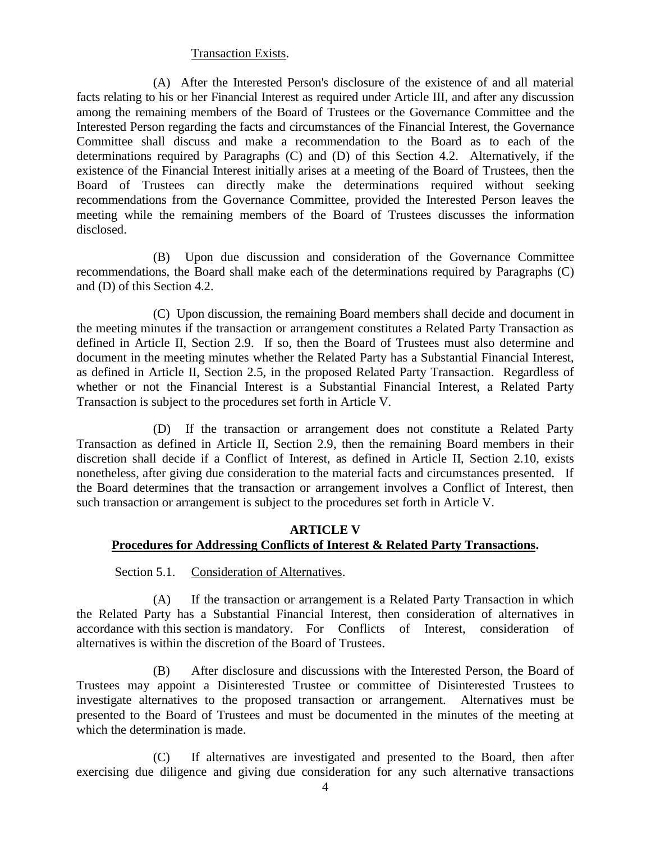#### Transaction Exists.

(A) After the Interested Person's disclosure of the existence of and all material facts relating to his or her Financial Interest as required under Article III, and after any discussion among the remaining members of the Board of Trustees or the Governance Committee and the Interested Person regarding the facts and circumstances of the Financial Interest, the Governance Committee shall discuss and make a recommendation to the Board as to each of the determinations required by Paragraphs (C) and (D) of this Section 4.2. Alternatively, if the existence of the Financial Interest initially arises at a meeting of the Board of Trustees, then the Board of Trustees can directly make the determinations required without seeking recommendations from the Governance Committee, provided the Interested Person leaves the meeting while the remaining members of the Board of Trustees discusses the information disclosed.

(B) Upon due discussion and consideration of the Governance Committee recommendations, the Board shall make each of the determinations required by Paragraphs (C) and (D) of this Section 4.2.

(C) Upon discussion, the remaining Board members shall decide and document in the meeting minutes if the transaction or arrangement constitutes a Related Party Transaction as defined in Article II, Section 2.9. If so, then the Board of Trustees must also determine and document in the meeting minutes whether the Related Party has a Substantial Financial Interest, as defined in Article II, Section 2.5, in the proposed Related Party Transaction. Regardless of whether or not the Financial Interest is a Substantial Financial Interest, a Related Party Transaction is subject to the procedures set forth in Article V.

(D) If the transaction or arrangement does not constitute a Related Party Transaction as defined in Article II, Section 2.9, then the remaining Board members in their discretion shall decide if a Conflict of Interest, as defined in Article II, Section 2.10, exists nonetheless, after giving due consideration to the material facts and circumstances presented. If the Board determines that the transaction or arrangement involves a Conflict of Interest, then such transaction or arrangement is subject to the procedures set forth in Article V.

#### **ARTICLE V Procedures for Addressing Conflicts of Interest & Related Party Transactions.**

Section 5.1. Consideration of Alternatives.

(A) If the transaction or arrangement is a Related Party Transaction in which the Related Party has a Substantial Financial Interest, then consideration of alternatives in accordance with this section is mandatory. For Conflicts of Interest, consideration of alternatives is within the discretion of the Board of Trustees.

(B) After disclosure and discussions with the Interested Person, the Board of Trustees may appoint a Disinterested Trustee or committee of Disinterested Trustees to investigate alternatives to the proposed transaction or arrangement. Alternatives must be presented to the Board of Trustees and must be documented in the minutes of the meeting at which the determination is made.

(C) If alternatives are investigated and presented to the Board, then after exercising due diligence and giving due consideration for any such alternative transactions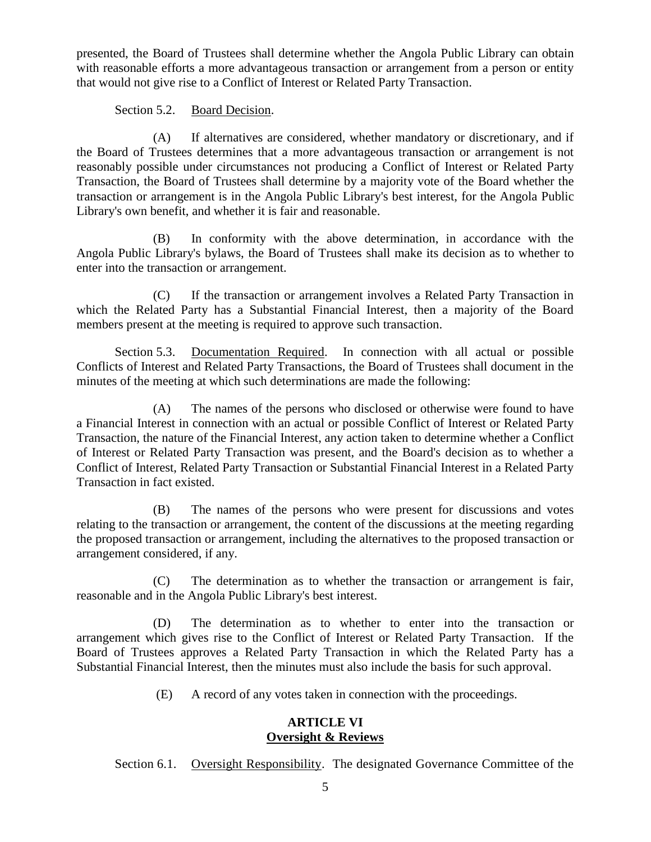presented, the Board of Trustees shall determine whether the Angola Public Library can obtain with reasonable efforts a more advantageous transaction or arrangement from a person or entity that would not give rise to a Conflict of Interest or Related Party Transaction.

#### Section 5.2. Board Decision.

(A) If alternatives are considered, whether mandatory or discretionary, and if the Board of Trustees determines that a more advantageous transaction or arrangement is not reasonably possible under circumstances not producing a Conflict of Interest or Related Party Transaction, the Board of Trustees shall determine by a majority vote of the Board whether the transaction or arrangement is in the Angola Public Library's best interest, for the Angola Public Library's own benefit, and whether it is fair and reasonable.

(B) In conformity with the above determination, in accordance with the Angola Public Library's bylaws, the Board of Trustees shall make its decision as to whether to enter into the transaction or arrangement.

(C) If the transaction or arrangement involves a Related Party Transaction in which the Related Party has a Substantial Financial Interest, then a majority of the Board members present at the meeting is required to approve such transaction.

Section 5.3. Documentation Required. In connection with all actual or possible Conflicts of Interest and Related Party Transactions, the Board of Trustees shall document in the minutes of the meeting at which such determinations are made the following:

(A) The names of the persons who disclosed or otherwise were found to have a Financial Interest in connection with an actual or possible Conflict of Interest or Related Party Transaction, the nature of the Financial Interest, any action taken to determine whether a Conflict of Interest or Related Party Transaction was present, and the Board's decision as to whether a Conflict of Interest, Related Party Transaction or Substantial Financial Interest in a Related Party Transaction in fact existed.

(B) The names of the persons who were present for discussions and votes relating to the transaction or arrangement, the content of the discussions at the meeting regarding the proposed transaction or arrangement, including the alternatives to the proposed transaction or arrangement considered, if any.

(C) The determination as to whether the transaction or arrangement is fair, reasonable and in the Angola Public Library's best interest.

(D) The determination as to whether to enter into the transaction or arrangement which gives rise to the Conflict of Interest or Related Party Transaction. If the Board of Trustees approves a Related Party Transaction in which the Related Party has a Substantial Financial Interest, then the minutes must also include the basis for such approval.

(E) A record of any votes taken in connection with the proceedings.

## **ARTICLE VI Oversight & Reviews**

Section 6.1. Oversight Responsibility. The designated Governance Committee of the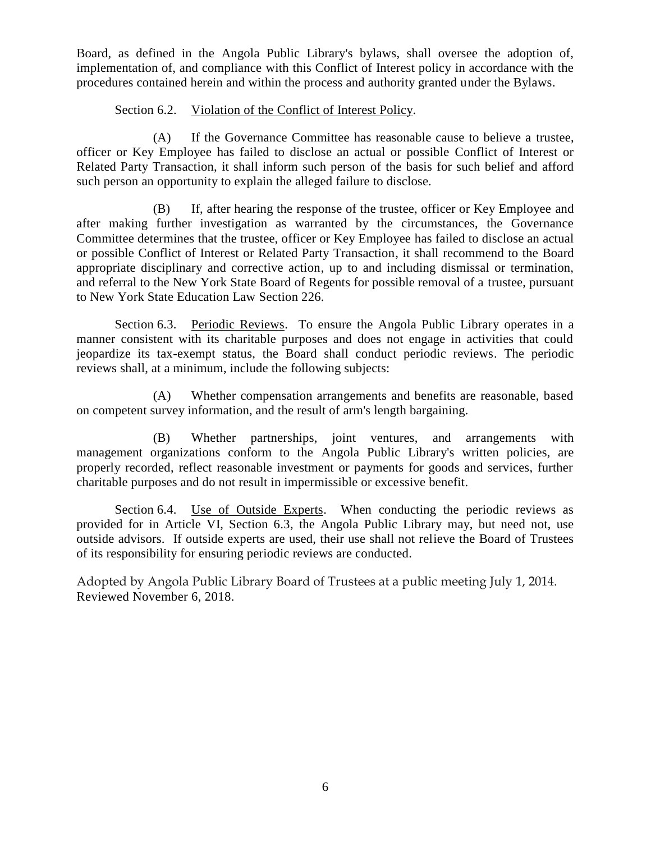Board, as defined in the Angola Public Library's bylaws, shall oversee the adoption of, implementation of, and compliance with this Conflict of Interest policy in accordance with the procedures contained herein and within the process and authority granted under the Bylaws.

## Section 6.2. Violation of the Conflict of Interest Policy.

(A) If the Governance Committee has reasonable cause to believe a trustee, officer or Key Employee has failed to disclose an actual or possible Conflict of Interest or Related Party Transaction, it shall inform such person of the basis for such belief and afford such person an opportunity to explain the alleged failure to disclose.

(B) If, after hearing the response of the trustee, officer or Key Employee and after making further investigation as warranted by the circumstances, the Governance Committee determines that the trustee, officer or Key Employee has failed to disclose an actual or possible Conflict of Interest or Related Party Transaction, it shall recommend to the Board appropriate disciplinary and corrective action, up to and including dismissal or termination, and referral to the New York State Board of Regents for possible removal of a trustee, pursuant to New York State Education Law Section 226.

Section 6.3. Periodic Reviews. To ensure the Angola Public Library operates in a manner consistent with its charitable purposes and does not engage in activities that could jeopardize its tax-exempt status, the Board shall conduct periodic reviews. The periodic reviews shall, at a minimum, include the following subjects:

(A) Whether compensation arrangements and benefits are reasonable, based on competent survey information, and the result of arm's length bargaining.

(B) Whether partnerships, joint ventures, and arrangements with management organizations conform to the Angola Public Library's written policies, are properly recorded, reflect reasonable investment or payments for goods and services, further charitable purposes and do not result in impermissible or excessive benefit.

Section 6.4. Use of Outside Experts. When conducting the periodic reviews as provided for in Article VI, Section 6.3, the Angola Public Library may, but need not, use outside advisors. If outside experts are used, their use shall not relieve the Board of Trustees of its responsibility for ensuring periodic reviews are conducted.

Adopted by Angola Public Library Board of Trustees at a public meeting July 1, 2014. Reviewed November 6, 2018.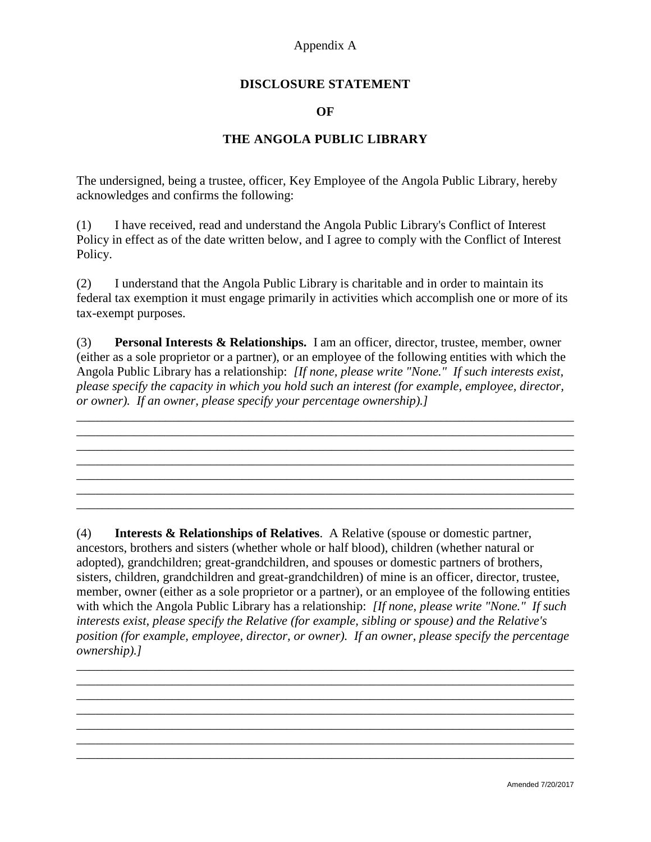## Appendix A

#### **DISCLOSURE STATEMENT**

#### **OF**

#### **THE ANGOLA PUBLIC LIBRARY**

The undersigned, being a trustee, officer, Key Employee of the Angola Public Library, hereby acknowledges and confirms the following:

(1) I have received, read and understand the Angola Public Library's Conflict of Interest Policy in effect as of the date written below, and I agree to comply with the Conflict of Interest Policy.

(2) I understand that the Angola Public Library is charitable and in order to maintain its federal tax exemption it must engage primarily in activities which accomplish one or more of its tax-exempt purposes.

(3) **Personal Interests & Relationships.** I am an officer, director, trustee, member, owner (either as a sole proprietor or a partner), or an employee of the following entities with which the Angola Public Library has a relationship: *[If none, please write "None." If such interests exist, please specify the capacity in which you hold such an interest (for example, employee, director, or owner). If an owner, please specify your percentage ownership).]*

\_\_\_\_\_\_\_\_\_\_\_\_\_\_\_\_\_\_\_\_\_\_\_\_\_\_\_\_\_\_\_\_\_\_\_\_\_\_\_\_\_\_\_\_\_\_\_\_\_\_\_\_\_\_\_\_\_\_\_\_\_\_\_\_\_\_\_\_\_\_\_\_\_\_\_\_\_\_

\_\_\_\_\_\_\_\_\_\_\_\_\_\_\_\_\_\_\_\_\_\_\_\_\_\_\_\_\_\_\_\_\_\_\_\_\_\_\_\_\_\_\_\_\_\_\_\_\_\_\_\_\_\_\_\_\_\_\_\_\_\_\_\_\_\_\_\_\_\_\_\_\_\_\_\_\_\_ \_\_\_\_\_\_\_\_\_\_\_\_\_\_\_\_\_\_\_\_\_\_\_\_\_\_\_\_\_\_\_\_\_\_\_\_\_\_\_\_\_\_\_\_\_\_\_\_\_\_\_\_\_\_\_\_\_\_\_\_\_\_\_\_\_\_\_\_\_\_\_\_\_\_\_\_\_\_ \_\_\_\_\_\_\_\_\_\_\_\_\_\_\_\_\_\_\_\_\_\_\_\_\_\_\_\_\_\_\_\_\_\_\_\_\_\_\_\_\_\_\_\_\_\_\_\_\_\_\_\_\_\_\_\_\_\_\_\_\_\_\_\_\_\_\_\_\_\_\_\_\_\_\_\_\_\_ \_\_\_\_\_\_\_\_\_\_\_\_\_\_\_\_\_\_\_\_\_\_\_\_\_\_\_\_\_\_\_\_\_\_\_\_\_\_\_\_\_\_\_\_\_\_\_\_\_\_\_\_\_\_\_\_\_\_\_\_\_\_\_\_\_\_\_\_\_\_\_\_\_\_\_\_\_\_ \_\_\_\_\_\_\_\_\_\_\_\_\_\_\_\_\_\_\_\_\_\_\_\_\_\_\_\_\_\_\_\_\_\_\_\_\_\_\_\_\_\_\_\_\_\_\_\_\_\_\_\_\_\_\_\_\_\_\_\_\_\_\_\_\_\_\_\_\_\_\_\_\_\_\_\_\_\_

(4) **Interests & Relationships of Relatives**. A Relative (spouse or domestic partner, ancestors, brothers and sisters (whether whole or half blood), children (whether natural or adopted), grandchildren; great-grandchildren, and spouses or domestic partners of brothers, sisters, children, grandchildren and great-grandchildren) of mine is an officer, director, trustee, member, owner (either as a sole proprietor or a partner), or an employee of the following entities with which the Angola Public Library has a relationship: *[If none, please write "None." If such interests exist, please specify the Relative (for example, sibling or spouse) and the Relative's position (for example, employee, director, or owner). If an owner, please specify the percentage ownership).]*

\_\_\_\_\_\_\_\_\_\_\_\_\_\_\_\_\_\_\_\_\_\_\_\_\_\_\_\_\_\_\_\_\_\_\_\_\_\_\_\_\_\_\_\_\_\_\_\_\_\_\_\_\_\_\_\_\_\_\_\_\_\_\_\_\_\_\_\_\_\_\_\_\_\_\_\_\_\_ \_\_\_\_\_\_\_\_\_\_\_\_\_\_\_\_\_\_\_\_\_\_\_\_\_\_\_\_\_\_\_\_\_\_\_\_\_\_\_\_\_\_\_\_\_\_\_\_\_\_\_\_\_\_\_\_\_\_\_\_\_\_\_\_\_\_\_\_\_\_\_\_\_\_\_\_\_\_

\_\_\_\_\_\_\_\_\_\_\_\_\_\_\_\_\_\_\_\_\_\_\_\_\_\_\_\_\_\_\_\_\_\_\_\_\_\_\_\_\_\_\_\_\_\_\_\_\_\_\_\_\_\_\_\_\_\_\_\_\_\_\_\_\_\_\_\_\_\_\_\_\_\_\_\_\_\_ \_\_\_\_\_\_\_\_\_\_\_\_\_\_\_\_\_\_\_\_\_\_\_\_\_\_\_\_\_\_\_\_\_\_\_\_\_\_\_\_\_\_\_\_\_\_\_\_\_\_\_\_\_\_\_\_\_\_\_\_\_\_\_\_\_\_\_\_\_\_\_\_\_\_\_\_\_\_ \_\_\_\_\_\_\_\_\_\_\_\_\_\_\_\_\_\_\_\_\_\_\_\_\_\_\_\_\_\_\_\_\_\_\_\_\_\_\_\_\_\_\_\_\_\_\_\_\_\_\_\_\_\_\_\_\_\_\_\_\_\_\_\_\_\_\_\_\_\_\_\_\_\_\_\_\_\_ \_\_\_\_\_\_\_\_\_\_\_\_\_\_\_\_\_\_\_\_\_\_\_\_\_\_\_\_\_\_\_\_\_\_\_\_\_\_\_\_\_\_\_\_\_\_\_\_\_\_\_\_\_\_\_\_\_\_\_\_\_\_\_\_\_\_\_\_\_\_\_\_\_\_\_\_\_\_